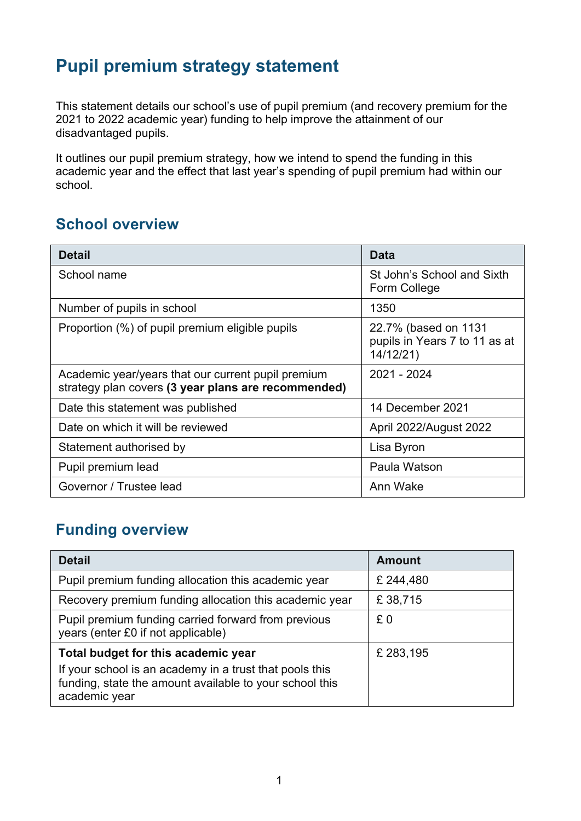# **Pupil premium strategy statement**

This statement details our school's use of pupil premium (and recovery premium for the 2021 to 2022 academic year) funding to help improve the attainment of our disadvantaged pupils.

It outlines our pupil premium strategy, how we intend to spend the funding in this academic year and the effect that last year's spending of pupil premium had within our school.

#### **School overview**

| <b>Detail</b>                                                                                             | <b>Data</b>                                                       |
|-----------------------------------------------------------------------------------------------------------|-------------------------------------------------------------------|
| School name                                                                                               | St John's School and Sixth<br>Form College                        |
| Number of pupils in school                                                                                | 1350                                                              |
| Proportion (%) of pupil premium eligible pupils                                                           | 22.7% (based on 1131<br>pupils in Years 7 to 11 as at<br>14/12/21 |
| Academic year/years that our current pupil premium<br>strategy plan covers (3 year plans are recommended) | 2021 - 2024                                                       |
| Date this statement was published                                                                         | 14 December 2021                                                  |
| Date on which it will be reviewed                                                                         | April 2022/August 2022                                            |
| Statement authorised by                                                                                   | Lisa Byron                                                        |
| Pupil premium lead                                                                                        | Paula Watson                                                      |
| Governor / Trustee lead                                                                                   | Ann Wake                                                          |

#### **Funding overview**

| <b>Detail</b>                                                                                                                                                              | <b>Amount</b> |
|----------------------------------------------------------------------------------------------------------------------------------------------------------------------------|---------------|
| Pupil premium funding allocation this academic year                                                                                                                        | £ 244,480     |
| Recovery premium funding allocation this academic year                                                                                                                     | £38,715       |
| Pupil premium funding carried forward from previous<br>years (enter £0 if not applicable)                                                                                  | £0            |
| Total budget for this academic year<br>If your school is an academy in a trust that pools this<br>funding, state the amount available to your school this<br>academic year | £ 283,195     |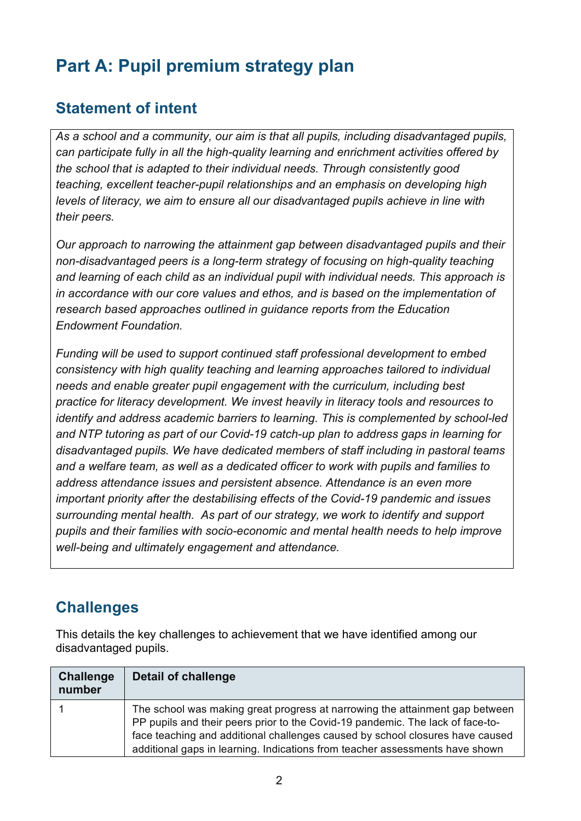# **Part A: Pupil premium strategy plan**

#### **Statement of intent**

*As a school and a community, our aim is that all pupils, including disadvantaged pupils, can participate fully in all the high-quality learning and enrichment activities offered by the school that is adapted to their individual needs. Through consistently good teaching, excellent teacher-pupil relationships and an emphasis on developing high levels of literacy, we aim to ensure all our disadvantaged pupils achieve in line with their peers.*

*Our approach to narrowing the attainment gap between disadvantaged pupils and their non-disadvantaged peers is a long-term strategy of focusing on high-quality teaching and learning of each child as an individual pupil with individual needs. This approach is in accordance with our core values and ethos, and is based on the implementation of research based approaches outlined in guidance reports from the Education Endowment Foundation.*

*Funding will be used to support continued staff professional development to embed consistency with high quality teaching and learning approaches tailored to individual needs and enable greater pupil engagement with the curriculum, including best practice for literacy development. We invest heavily in literacy tools and resources to identify and address academic barriers to learning. This is complemented by school-led and NTP tutoring as part of our Covid-19 catch-up plan to address gaps in learning for disadvantaged pupils. We have dedicated members of staff including in pastoral teams and a welfare team, as well as a dedicated officer to work with pupils and families to address attendance issues and persistent absence. Attendance is an even more important priority after the destabilising effects of the Covid-19 pandemic and issues surrounding mental health. As part of our strategy, we work to identify and support pupils and their families with socio-economic and mental health needs to help improve well-being and ultimately engagement and attendance.*

### **Challenges**

This details the key challenges to achievement that we have identified among our disadvantaged pupils.

| <b>Challenge</b><br>number | Detail of challenge                                                                                                                                                                                                                                                                                                             |
|----------------------------|---------------------------------------------------------------------------------------------------------------------------------------------------------------------------------------------------------------------------------------------------------------------------------------------------------------------------------|
|                            | The school was making great progress at narrowing the attainment gap between<br>PP pupils and their peers prior to the Covid-19 pandemic. The lack of face-to-<br>face teaching and additional challenges caused by school closures have caused<br>additional gaps in learning. Indications from teacher assessments have shown |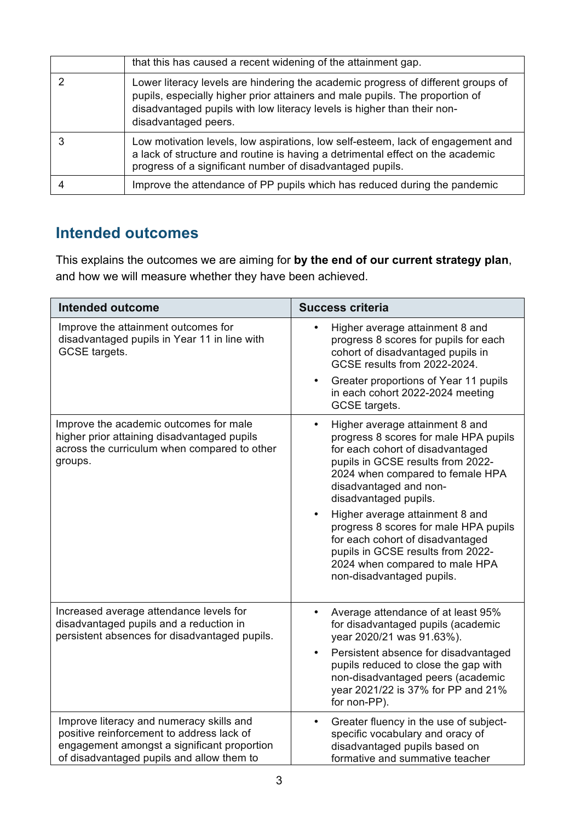| that this has caused a recent widening of the attainment gap.                                                                                                                                                                                                       |
|---------------------------------------------------------------------------------------------------------------------------------------------------------------------------------------------------------------------------------------------------------------------|
| Lower literacy levels are hindering the academic progress of different groups of<br>pupils, especially higher prior attainers and male pupils. The proportion of<br>disadvantaged pupils with low literacy levels is higher than their non-<br>disadvantaged peers. |
| Low motivation levels, low aspirations, low self-esteem, lack of engagement and<br>a lack of structure and routine is having a detrimental effect on the academic<br>progress of a significant number of disadvantaged pupils.                                      |
| Improve the attendance of PP pupils which has reduced during the pandemic                                                                                                                                                                                           |

## **Intended outcomes**

This explains the outcomes we are aiming for **by the end of our current strategy plan**, and how we will measure whether they have been achieved.

| <b>Intended outcome</b>                                                                                                                                                           | <b>Success criteria</b>                                                                                                                                                                                                                                               |  |  |
|-----------------------------------------------------------------------------------------------------------------------------------------------------------------------------------|-----------------------------------------------------------------------------------------------------------------------------------------------------------------------------------------------------------------------------------------------------------------------|--|--|
| Improve the attainment outcomes for<br>disadvantaged pupils in Year 11 in line with<br>GCSE targets.                                                                              | Higher average attainment 8 and<br>$\bullet$<br>progress 8 scores for pupils for each<br>cohort of disadvantaged pupils in<br>GCSE results from 2022-2024.<br>Greater proportions of Year 11 pupils<br>$\bullet$<br>in each cohort 2022-2024 meeting<br>GCSE targets. |  |  |
| Improve the academic outcomes for male<br>higher prior attaining disadvantaged pupils<br>across the curriculum when compared to other<br>groups.                                  | Higher average attainment 8 and<br>$\bullet$<br>progress 8 scores for male HPA pupils<br>for each cohort of disadvantaged<br>pupils in GCSE results from 2022-<br>2024 when compared to female HPA<br>disadvantaged and non-<br>disadvantaged pupils.                 |  |  |
|                                                                                                                                                                                   | Higher average attainment 8 and<br>$\bullet$<br>progress 8 scores for male HPA pupils<br>for each cohort of disadvantaged<br>pupils in GCSE results from 2022-<br>2024 when compared to male HPA<br>non-disadvantaged pupils.                                         |  |  |
| Increased average attendance levels for<br>disadvantaged pupils and a reduction in<br>persistent absences for disadvantaged pupils.                                               | Average attendance of at least 95%<br>for disadvantaged pupils (academic<br>year 2020/21 was 91.63%).                                                                                                                                                                 |  |  |
|                                                                                                                                                                                   | Persistent absence for disadvantaged<br>$\bullet$<br>pupils reduced to close the gap with<br>non-disadvantaged peers (academic<br>year 2021/22 is 37% for PP and 21%<br>for non-PP).                                                                                  |  |  |
| Improve literacy and numeracy skills and<br>positive reinforcement to address lack of<br>engagement amongst a significant proportion<br>of disadvantaged pupils and allow them to | Greater fluency in the use of subject-<br>$\bullet$<br>specific vocabulary and oracy of<br>disadvantaged pupils based on<br>formative and summative teacher                                                                                                           |  |  |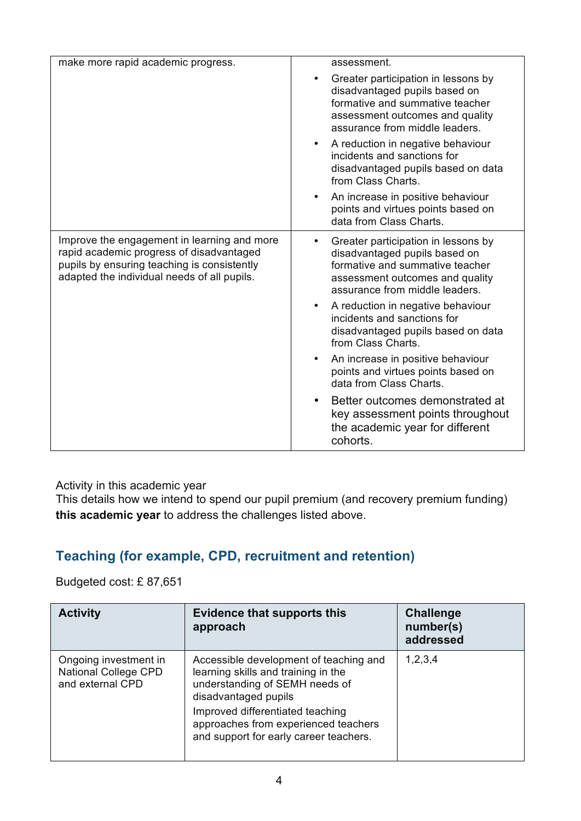| make more rapid academic progress.                                                                                                                                                    | assessment.                                                                                                                                                                  |
|---------------------------------------------------------------------------------------------------------------------------------------------------------------------------------------|------------------------------------------------------------------------------------------------------------------------------------------------------------------------------|
|                                                                                                                                                                                       | Greater participation in lessons by<br>disadvantaged pupils based on<br>formative and summative teacher<br>assessment outcomes and quality<br>assurance from middle leaders. |
|                                                                                                                                                                                       | A reduction in negative behaviour<br>incidents and sanctions for<br>disadvantaged pupils based on data<br>from Class Charts.                                                 |
|                                                                                                                                                                                       | An increase in positive behaviour<br>points and virtues points based on<br>data from Class Charts.                                                                           |
| Improve the engagement in learning and more<br>rapid academic progress of disadvantaged<br>pupils by ensuring teaching is consistently<br>adapted the individual needs of all pupils. | Greater participation in lessons by<br>disadvantaged pupils based on<br>formative and summative teacher<br>assessment outcomes and quality<br>assurance from middle leaders. |
|                                                                                                                                                                                       | A reduction in negative behaviour<br>incidents and sanctions for<br>disadvantaged pupils based on data<br>from Class Charts.                                                 |
|                                                                                                                                                                                       | An increase in positive behaviour<br>points and virtues points based on<br>data from Class Charts.                                                                           |
|                                                                                                                                                                                       | Better outcomes demonstrated at<br>key assessment points throughout<br>the academic year for different<br>cohorts.                                                           |

Activity in this academic year

This details how we intend to spend our pupil premium (and recovery premium funding) **this academic year** to address the challenges listed above.

#### **Teaching (for example, CPD, recruitment and retention)**

Budgeted cost: £ 87,651

| <b>Activity</b>                                                   | <b>Evidence that supports this</b><br>approach                                                                                                                                                                                                                | <b>Challenge</b><br>number(s)<br>addressed |
|-------------------------------------------------------------------|---------------------------------------------------------------------------------------------------------------------------------------------------------------------------------------------------------------------------------------------------------------|--------------------------------------------|
| Ongoing investment in<br>National College CPD<br>and external CPD | Accessible development of teaching and<br>learning skills and training in the<br>understanding of SEMH needs of<br>disadvantaged pupils<br>Improved differentiated teaching<br>approaches from experienced teachers<br>and support for early career teachers. | 1,2,3,4                                    |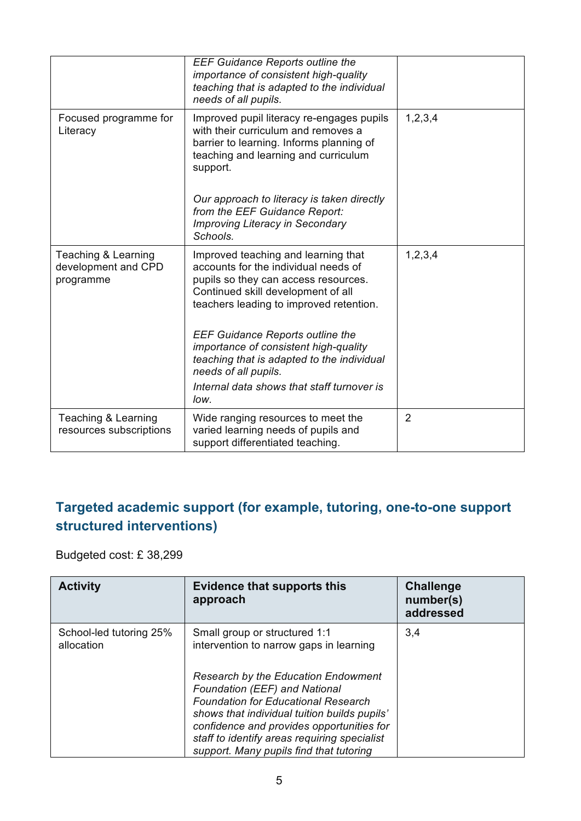|                                                         | <b>EEF Guidance Reports outline the</b><br>importance of consistent high-quality<br>teaching that is adapted to the individual<br>needs of all pupils.                                                                                                                                                                                 |                |
|---------------------------------------------------------|----------------------------------------------------------------------------------------------------------------------------------------------------------------------------------------------------------------------------------------------------------------------------------------------------------------------------------------|----------------|
| Focused programme for<br>Literacy                       | Improved pupil literacy re-engages pupils<br>with their curriculum and removes a<br>barrier to learning. Informs planning of<br>teaching and learning and curriculum<br>support.                                                                                                                                                       | 1,2,3,4        |
|                                                         | Our approach to literacy is taken directly<br>from the EEF Guidance Report:<br><b>Improving Literacy in Secondary</b><br>Schools.                                                                                                                                                                                                      |                |
| Teaching & Learning<br>development and CPD<br>programme | Improved teaching and learning that<br>accounts for the individual needs of<br>pupils so they can access resources.<br>Continued skill development of all<br>teachers leading to improved retention.<br><b>EEF Guidance Reports outline the</b><br>importance of consistent high-quality<br>teaching that is adapted to the individual | 1,2,3,4        |
|                                                         | needs of all pupils.<br>Internal data shows that staff turnover is<br>low.                                                                                                                                                                                                                                                             |                |
| Teaching & Learning<br>resources subscriptions          | Wide ranging resources to meet the<br>varied learning needs of pupils and<br>support differentiated teaching.                                                                                                                                                                                                                          | $\overline{2}$ |

#### **Targeted academic support (for example, tutoring, one-to-one support structured interventions)**

Budgeted cost: £ 38,299

| <b>Activity</b>                       | <b>Evidence that supports this</b><br>approach                                                                                                                                                                                                                                                             | <b>Challenge</b><br>number(s)<br>addressed |
|---------------------------------------|------------------------------------------------------------------------------------------------------------------------------------------------------------------------------------------------------------------------------------------------------------------------------------------------------------|--------------------------------------------|
| School-led tutoring 25%<br>allocation | Small group or structured 1:1<br>intervention to narrow gaps in learning                                                                                                                                                                                                                                   | 3,4                                        |
|                                       | Research by the Education Endowment<br>Foundation (EEF) and National<br><b>Foundation for Educational Research</b><br>shows that individual tuition builds pupils'<br>confidence and provides opportunities for<br>staff to identify areas requiring specialist<br>support. Many pupils find that tutoring |                                            |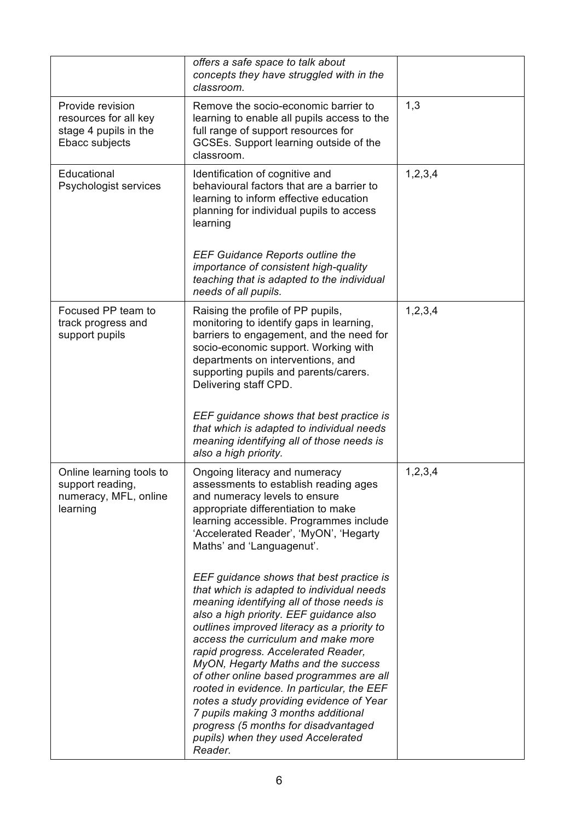|                                                                                      | offers a safe space to talk about<br>concepts they have struggled with in the<br>classroom.                                                                                                                                                                                                                                                                                                                                                                                                                                                                                                                                                                                                                                                                                                                                                                                                 |         |
|--------------------------------------------------------------------------------------|---------------------------------------------------------------------------------------------------------------------------------------------------------------------------------------------------------------------------------------------------------------------------------------------------------------------------------------------------------------------------------------------------------------------------------------------------------------------------------------------------------------------------------------------------------------------------------------------------------------------------------------------------------------------------------------------------------------------------------------------------------------------------------------------------------------------------------------------------------------------------------------------|---------|
| Provide revision<br>resources for all key<br>stage 4 pupils in the<br>Ebacc subjects | Remove the socio-economic barrier to<br>learning to enable all pupils access to the<br>full range of support resources for<br>GCSEs. Support learning outside of the<br>classroom.                                                                                                                                                                                                                                                                                                                                                                                                                                                                                                                                                                                                                                                                                                          | 1,3     |
| Educational<br>Psychologist services                                                 | Identification of cognitive and<br>behavioural factors that are a barrier to<br>learning to inform effective education<br>planning for individual pupils to access<br>learning<br><b>EEF Guidance Reports outline the</b><br>importance of consistent high-quality<br>teaching that is adapted to the individual<br>needs of all pupils.                                                                                                                                                                                                                                                                                                                                                                                                                                                                                                                                                    | 1,2,3,4 |
| Focused PP team to<br>track progress and<br>support pupils                           | Raising the profile of PP pupils,<br>monitoring to identify gaps in learning,<br>barriers to engagement, and the need for<br>socio-economic support. Working with<br>departments on interventions, and<br>supporting pupils and parents/carers.<br>Delivering staff CPD.<br>EEF guidance shows that best practice is<br>that which is adapted to individual needs<br>meaning identifying all of those needs is<br>also a high priority.                                                                                                                                                                                                                                                                                                                                                                                                                                                     | 1,2,3,4 |
| Online learning tools to<br>support reading,<br>numeracy, MFL, online<br>learning    | Ongoing literacy and numeracy<br>assessments to establish reading ages<br>and numeracy levels to ensure<br>appropriate differentiation to make<br>learning accessible. Programmes include<br>'Accelerated Reader', 'MyON', 'Hegarty<br>Maths' and 'Languagenut'.<br>EEF guidance shows that best practice is<br>that which is adapted to individual needs<br>meaning identifying all of those needs is<br>also a high priority. EEF guidance also<br>outlines improved literacy as a priority to<br>access the curriculum and make more<br>rapid progress. Accelerated Reader,<br>MyON, Hegarty Maths and the success<br>of other online based programmes are all<br>rooted in evidence. In particular, the EEF<br>notes a study providing evidence of Year<br>7 pupils making 3 months additional<br>progress (5 months for disadvantaged<br>pupils) when they used Accelerated<br>Reader. | 1,2,3,4 |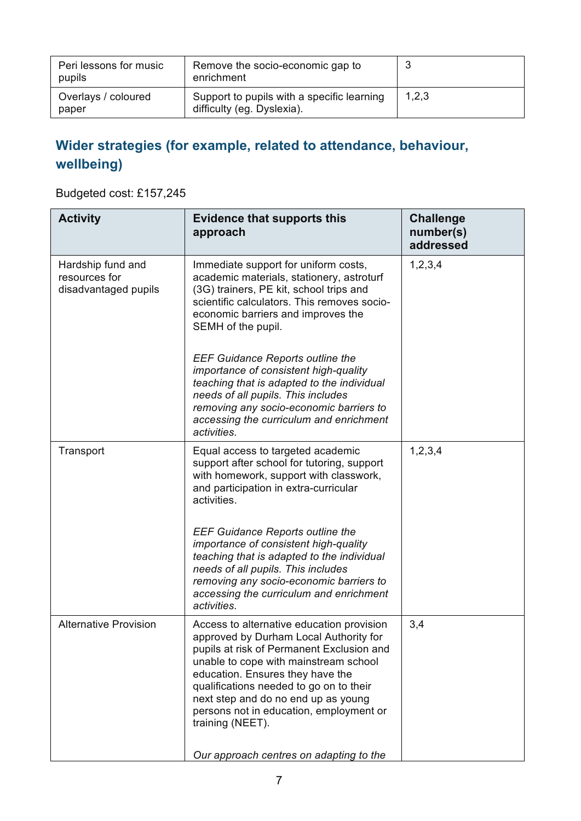| Peri lessons for music<br>pupils | Remove the socio-economic gap to<br>enrichment                           | N     |
|----------------------------------|--------------------------------------------------------------------------|-------|
| Overlays / coloured<br>paper     | Support to pupils with a specific learning<br>difficulty (eg. Dyslexia). | 1,2,3 |

### **Wider strategies (for example, related to attendance, behaviour, wellbeing)**

#### Budgeted cost: £157,245

| <b>Activity</b>                                            | <b>Evidence that supports this</b><br>approach                                                                                                                                                                                                                                                                                                                                                            | <b>Challenge</b><br>number(s)<br>addressed |
|------------------------------------------------------------|-----------------------------------------------------------------------------------------------------------------------------------------------------------------------------------------------------------------------------------------------------------------------------------------------------------------------------------------------------------------------------------------------------------|--------------------------------------------|
| Hardship fund and<br>resources for<br>disadvantaged pupils | Immediate support for uniform costs,<br>academic materials, stationery, astroturf<br>(3G) trainers, PE kit, school trips and<br>scientific calculators. This removes socio-<br>economic barriers and improves the<br>SEMH of the pupil.                                                                                                                                                                   | 1,2,3,4                                    |
|                                                            | <b>EEF Guidance Reports outline the</b><br>importance of consistent high-quality<br>teaching that is adapted to the individual<br>needs of all pupils. This includes<br>removing any socio-economic barriers to<br>accessing the curriculum and enrichment<br>activities.                                                                                                                                 |                                            |
| Transport                                                  | Equal access to targeted academic<br>support after school for tutoring, support<br>with homework, support with classwork,<br>and participation in extra-curricular<br>activities.                                                                                                                                                                                                                         | 1,2,3,4                                    |
|                                                            | <b>EEF Guidance Reports outline the</b><br>importance of consistent high-quality<br>teaching that is adapted to the individual<br>needs of all pupils. This includes<br>removing any socio-economic barriers to<br>accessing the curriculum and enrichment<br>activities.                                                                                                                                 |                                            |
| <b>Alternative Provision</b>                               | Access to alternative education provision<br>approved by Durham Local Authority for<br>pupils at risk of Permanent Exclusion and<br>unable to cope with mainstream school<br>education. Ensures they have the<br>qualifications needed to go on to their<br>next step and do no end up as young<br>persons not in education, employment or<br>training (NEET).<br>Our approach centres on adapting to the | 3,4                                        |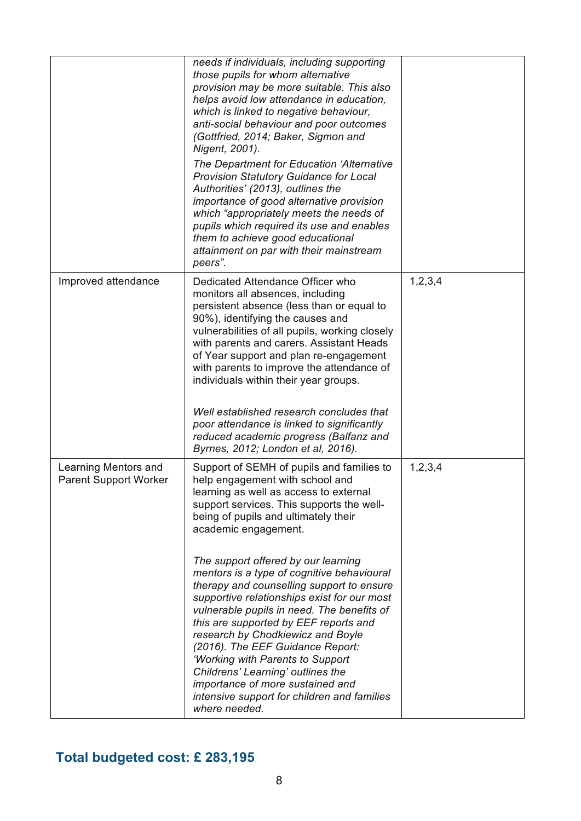|                                                      | needs if individuals, including supporting<br>those pupils for whom alternative<br>provision may be more suitable. This also<br>helps avoid low attendance in education,<br>which is linked to negative behaviour,<br>anti-social behaviour and poor outcomes<br>(Gottfried, 2014; Baker, Sigmon and<br>Nigent, 2001).<br>The Department for Education 'Alternative<br><b>Provision Statutory Guidance for Local</b><br>Authorities' (2013), outlines the<br>importance of good alternative provision<br>which "appropriately meets the needs of<br>pupils which required its use and enables<br>them to achieve good educational<br>attainment on par with their mainstream<br>peers".                                                                           |         |
|------------------------------------------------------|-------------------------------------------------------------------------------------------------------------------------------------------------------------------------------------------------------------------------------------------------------------------------------------------------------------------------------------------------------------------------------------------------------------------------------------------------------------------------------------------------------------------------------------------------------------------------------------------------------------------------------------------------------------------------------------------------------------------------------------------------------------------|---------|
| Improved attendance                                  | Dedicated Attendance Officer who<br>monitors all absences, including<br>persistent absence (less than or equal to<br>90%), identifying the causes and<br>vulnerabilities of all pupils, working closely<br>with parents and carers. Assistant Heads<br>of Year support and plan re-engagement<br>with parents to improve the attendance of<br>individuals within their year groups.<br>Well established research concludes that<br>poor attendance is linked to significantly<br>reduced academic progress (Balfanz and<br>Byrnes, 2012; London et al, 2016).                                                                                                                                                                                                     | 1,2,3,4 |
| Learning Mentors and<br><b>Parent Support Worker</b> | Support of SEMH of pupils and families to<br>help engagement with school and<br>learning as well as access to external<br>support services. This supports the well-<br>being of pupils and ultimately their<br>academic engagement.<br>The support offered by our learning<br>mentors is a type of cognitive behavioural<br>therapy and counselling support to ensure<br>supportive relationships exist for our most<br>vulnerable pupils in need. The benefits of<br>this are supported by EEF reports and<br>research by Chodkiewicz and Boyle<br>(2016). The EEF Guidance Report:<br>'Working with Parents to Support<br>Childrens' Learning' outlines the<br>importance of more sustained and<br>intensive support for children and families<br>where needed. | 1,2,3,4 |

# **Total budgeted cost: £ 283,195**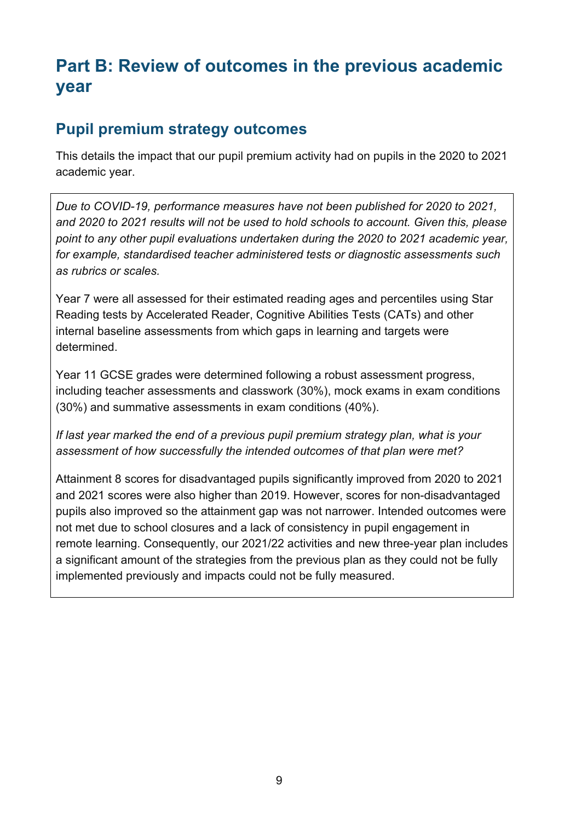# **Part B: Review of outcomes in the previous academic year**

#### **Pupil premium strategy outcomes**

This details the impact that our pupil premium activity had on pupils in the 2020 to 2021 academic year.

*Due to COVID-19, performance measures have not been published for 2020 to 2021, and 2020 to 2021 results will not be used to hold schools to account. Given this, please point to any other pupil evaluations undertaken during the 2020 to 2021 academic year, for example, standardised teacher administered tests or diagnostic assessments such as rubrics or scales.*

Year 7 were all assessed for their estimated reading ages and percentiles using Star Reading tests by Accelerated Reader, Cognitive Abilities Tests (CATs) and other internal baseline assessments from which gaps in learning and targets were determined.

Year 11 GCSE grades were determined following a robust assessment progress, including teacher assessments and classwork (30%), mock exams in exam conditions (30%) and summative assessments in exam conditions (40%).

*If last year marked the end of a previous pupil premium strategy plan, what is your assessment of how successfully the intended outcomes of that plan were met?* 

Attainment 8 scores for disadvantaged pupils significantly improved from 2020 to 2021 and 2021 scores were also higher than 2019. However, scores for non-disadvantaged pupils also improved so the attainment gap was not narrower. Intended outcomes were not met due to school closures and a lack of consistency in pupil engagement in remote learning. Consequently, our 2021/22 activities and new three-year plan includes a significant amount of the strategies from the previous plan as they could not be fully implemented previously and impacts could not be fully measured.